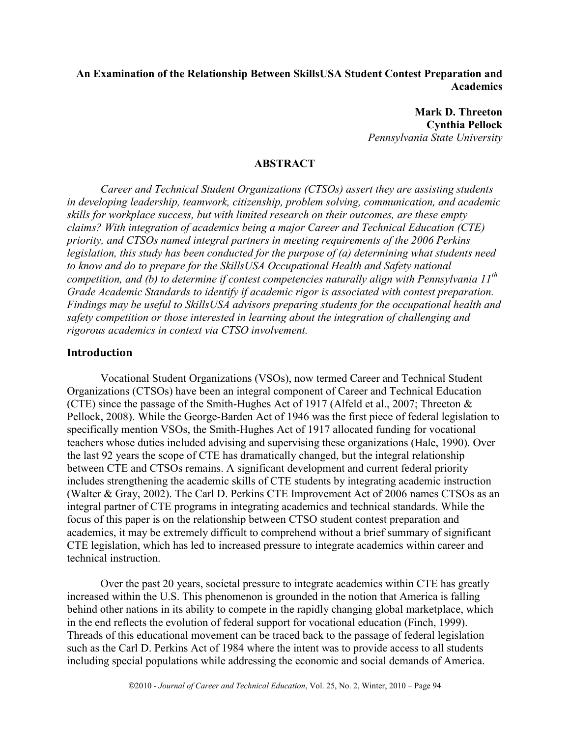# **An Examination of the Relationship Between SkillsUSA Student Contest Preparation and Academics**

**Mark D. Threeton Cynthia Pellock**  *Pennsylvania State University* 

## **ABSTRACT**

*Career and Technical Student Organizations (CTSOs) assert they are assisting students in developing leadership, teamwork, citizenship, problem solving, communication, and academic skills for workplace success, but with limited research on their outcomes, are these empty claims? With integration of academics being a major Career and Technical Education (CTE) priority, and CTSOs named integral partners in meeting requirements of the 2006 Perkins legislation, this study has been conducted for the purpose of (a) determining what students need to know and do to prepare for the SkillsUSA Occupational Health and Safety national competition, and (b) to determine if contest competencies naturally align with Pennsylvania 11th Grade Academic Standards to identify if academic rigor is associated with contest preparation. Findings may be useful to SkillsUSA advisors preparing students for the occupational health and safety competition or those interested in learning about the integration of challenging and rigorous academics in context via CTSO involvement.* 

#### **Introduction**

Vocational Student Organizations (VSOs), now termed Career and Technical Student Organizations (CTSOs) have been an integral component of Career and Technical Education (CTE) since the passage of the Smith-Hughes Act of 1917 (Alfeld et al., 2007; Threeton & Pellock, 2008). While the George-Barden Act of 1946 was the first piece of federal legislation to specifically mention VSOs, the Smith-Hughes Act of 1917 allocated funding for vocational teachers whose duties included advising and supervising these organizations (Hale, 1990). Over the last 92 years the scope of CTE has dramatically changed, but the integral relationship between CTE and CTSOs remains. A significant development and current federal priority includes strengthening the academic skills of CTE students by integrating academic instruction (Walter & Gray, 2002). The Carl D. Perkins CTE Improvement Act of 2006 names CTSOs as an integral partner of CTE programs in integrating academics and technical standards. While the focus of this paper is on the relationship between CTSO student contest preparation and academics, it may be extremely difficult to comprehend without a brief summary of significant CTE legislation, which has led to increased pressure to integrate academics within career and technical instruction.

Over the past 20 years, societal pressure to integrate academics within CTE has greatly increased within the U.S. This phenomenon is grounded in the notion that America is falling behind other nations in its ability to compete in the rapidly changing global marketplace, which in the end reflects the evolution of federal support for vocational education (Finch, 1999). Threads of this educational movement can be traced back to the passage of federal legislation such as the Carl D. Perkins Act of 1984 where the intent was to provide access to all students including special populations while addressing the economic and social demands of America.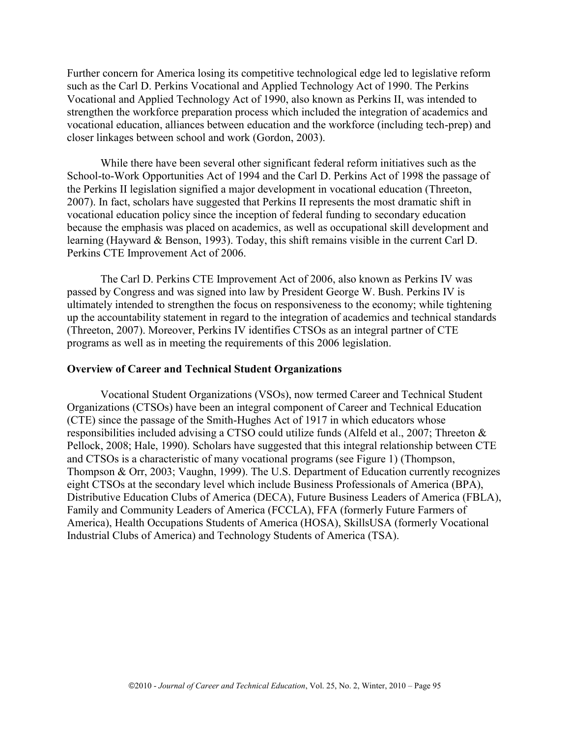Further concern for America losing its competitive technological edge led to legislative reform such as the Carl D. Perkins Vocational and Applied Technology Act of 1990. The Perkins Vocational and Applied Technology Act of 1990, also known as Perkins II, was intended to strengthen the workforce preparation process which included the integration of academics and vocational education, alliances between education and the workforce (including tech-prep) and closer linkages between school and work (Gordon, 2003).

While there have been several other significant federal reform initiatives such as the School-to-Work Opportunities Act of 1994 and the Carl D. Perkins Act of 1998 the passage of the Perkins II legislation signified a major development in vocational education (Threeton, 2007). In fact, scholars have suggested that Perkins II represents the most dramatic shift in vocational education policy since the inception of federal funding to secondary education because the emphasis was placed on academics, as well as occupational skill development and learning (Hayward & Benson, 1993). Today, this shift remains visible in the current Carl D. Perkins CTE Improvement Act of 2006.

The Carl D. Perkins CTE Improvement Act of 2006, also known as Perkins IV was passed by Congress and was signed into law by President George W. Bush. Perkins IV is ultimately intended to strengthen the focus on responsiveness to the economy; while tightening up the accountability statement in regard to the integration of academics and technical standards (Threeton, 2007). Moreover, Perkins IV identifies CTSOs as an integral partner of CTE programs as well as in meeting the requirements of this 2006 legislation.

### **Overview of Career and Technical Student Organizations**

Vocational Student Organizations (VSOs), now termed Career and Technical Student Organizations (CTSOs) have been an integral component of Career and Technical Education (CTE) since the passage of the Smith-Hughes Act of 1917 in which educators whose responsibilities included advising a CTSO could utilize funds (Alfeld et al., 2007; Threeton & Pellock, 2008; Hale, 1990). Scholars have suggested that this integral relationship between CTE and CTSOs is a characteristic of many vocational programs (see Figure 1) (Thompson, Thompson & Orr, 2003; Vaughn, 1999). The U.S. Department of Education currently recognizes eight CTSOs at the secondary level which include Business Professionals of America (BPA), Distributive Education Clubs of America (DECA), Future Business Leaders of America (FBLA), Family and Community Leaders of America (FCCLA), FFA (formerly Future Farmers of America), Health Occupations Students of America (HOSA), SkillsUSA (formerly Vocational Industrial Clubs of America) and Technology Students of America (TSA).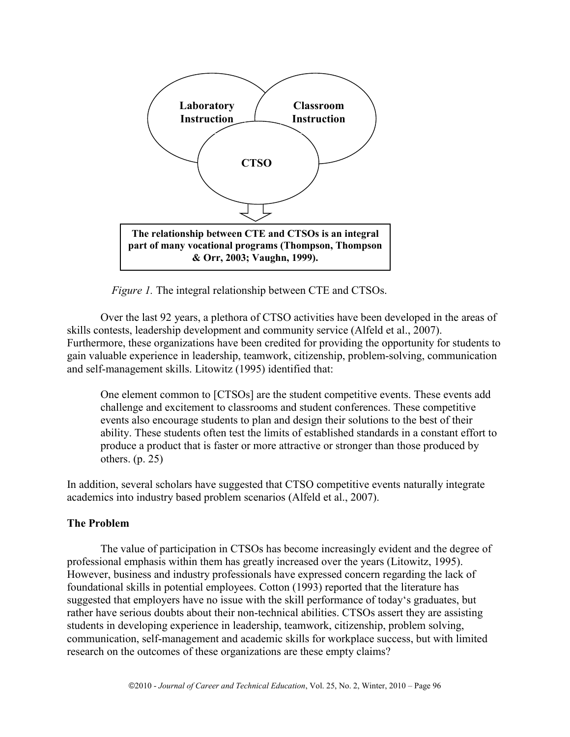

*Figure 1.* The integral relationship between CTE and CTSOs.

Over the last 92 years, a plethora of CTSO activities have been developed in the areas of skills contests, leadership development and community service (Alfeld et al., 2007). Furthermore, these organizations have been credited for providing the opportunity for students to gain valuable experience in leadership, teamwork, citizenship, problem-solving, communication and self-management skills. Litowitz (1995) identified that:

One element common to [CTSOs] are the student competitive events. These events add challenge and excitement to classrooms and student conferences. These competitive events also encourage students to plan and design their solutions to the best of their ability. These students often test the limits of established standards in a constant effort to produce a product that is faster or more attractive or stronger than those produced by others. (p. 25)

In addition, several scholars have suggested that CTSO competitive events naturally integrate academics into industry based problem scenarios (Alfeld et al., 2007).

## **The Problem**

The value of participation in CTSOs has become increasingly evident and the degree of professional emphasis within them has greatly increased over the years (Litowitz, 1995). However, business and industry professionals have expressed concern regarding the lack of foundational skills in potential employees. Cotton (1993) reported that the literature has suggested that employers have no issue with the skill performance of today's graduates, but rather have serious doubts about their non-technical abilities. CTSOs assert they are assisting students in developing experience in leadership, teamwork, citizenship, problem solving, communication, self-management and academic skills for workplace success, but with limited research on the outcomes of these organizations are these empty claims?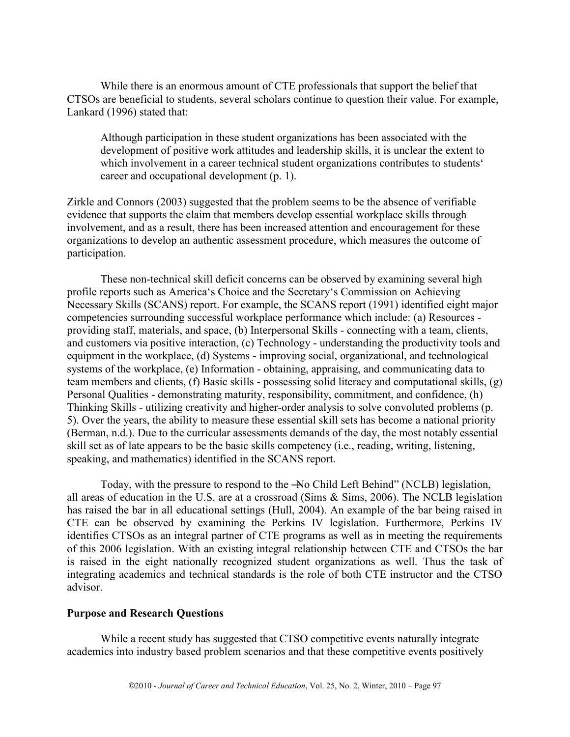While there is an enormous amount of CTE professionals that support the belief that CTSOs are beneficial to students, several scholars continue to question their value. For example, Lankard (1996) stated that:

Although participation in these student organizations has been associated with the development of positive work attitudes and leadership skills, it is unclear the extent to which involvement in a career technical student organizations contributes to students' career and occupational development (p. 1).

Zirkle and Connors (2003) suggested that the problem seems to be the absence of verifiable evidence that supports the claim that members develop essential workplace skills through involvement, and as a result, there has been increased attention and encouragement for these organizations to develop an authentic assessment procedure, which measures the outcome of participation.

These non-technical skill deficit concerns can be observed by examining several high profile reports such as America's Choice and the Secretary's Commission on Achieving Necessary Skills (SCANS) report. For example, the SCANS report (1991) identified eight major competencies surrounding successful workplace performance which include: (a) Resources providing staff, materials, and space, (b) Interpersonal Skills - connecting with a team, clients, and customers via positive interaction, (c) Technology - understanding the productivity tools and equipment in the workplace, (d) Systems - improving social, organizational, and technological systems of the workplace, (e) Information - obtaining, appraising, and communicating data to team members and clients, (f) Basic skills - possessing solid literacy and computational skills, (g) Personal Qualities - demonstrating maturity, responsibility, commitment, and confidence, (h) Thinking Skills - utilizing creativity and higher-order analysis to solve convoluted problems (p. 5). Over the years, the ability to measure these essential skill sets has become a national priority (Berman, n.d.). Due to the curricular assessments demands of the day, the most notably essential skill set as of late appears to be the basic skills competency (i.e., reading, writing, listening, speaking, and mathematics) identified in the SCANS report.

Today, with the pressure to respond to the -No Child Left Behind" (NCLB) legislation, all areas of education in the U.S. are at a crossroad (Sims & Sims, 2006). The NCLB legislation has raised the bar in all educational settings (Hull, 2004). An example of the bar being raised in CTE can be observed by examining the Perkins IV legislation. Furthermore, Perkins IV identifies CTSOs as an integral partner of CTE programs as well as in meeting the requirements of this 2006 legislation. With an existing integral relationship between CTE and CTSOs the bar is raised in the eight nationally recognized student organizations as well. Thus the task of integrating academics and technical standards is the role of both CTE instructor and the CTSO advisor.

## **Purpose and Research Questions**

While a recent study has suggested that CTSO competitive events naturally integrate academics into industry based problem scenarios and that these competitive events positively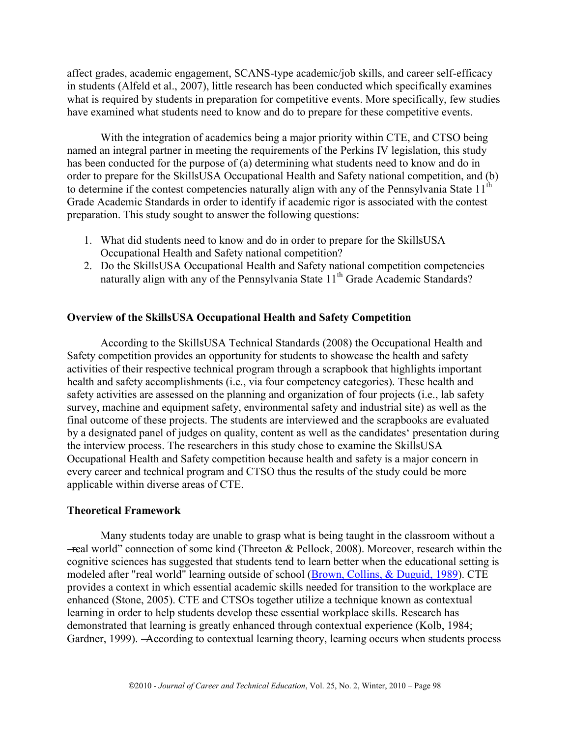affect grades, academic engagement, SCANS-type academic/job skills, and career self-efficacy in students (Alfeld et al., 2007), little research has been conducted which specifically examines what is required by students in preparation for competitive events. More specifically, few studies have examined what students need to know and do to prepare for these competitive events.

With the integration of academics being a major priority within CTE, and CTSO being named an integral partner in meeting the requirements of the Perkins IV legislation, this study has been conducted for the purpose of (a) determining what students need to know and do in order to prepare for the SkillsUSA Occupational Health and Safety national competition, and (b) to determine if the contest competencies naturally align with any of the Pennsylvania State  $11<sup>th</sup>$ Grade Academic Standards in order to identify if academic rigor is associated with the contest preparation. This study sought to answer the following questions:

- 1. What did students need to know and do in order to prepare for the SkillsUSA Occupational Health and Safety national competition?
- 2. Do the SkillsUSA Occupational Health and Safety national competition competencies naturally align with any of the Pennsylvania State  $11<sup>th</sup>$  Grade Academic Standards?

# **Overview of the SkillsUSA Occupational Health and Safety Competition**

According to the SkillsUSA Technical Standards (2008) the Occupational Health and Safety competition provides an opportunity for students to showcase the health and safety activities of their respective technical program through a scrapbook that highlights important health and safety accomplishments (i.e., via four competency categories). These health and safety activities are assessed on the planning and organization of four projects (i.e., lab safety survey, machine and equipment safety, environmental safety and industrial site) as well as the final outcome of these projects. The students are interviewed and the scrapbooks are evaluated by a designated panel of judges on quality, content as well as the candidates' presentation during the interview process. The researchers in this study chose to examine the SkillsUSA Occupational Health and Safety competition because health and safety is a major concern in every career and technical program and CTSO thus the results of the study could be more applicable within diverse areas of CTE.

## **Theoretical Framework**

Many students today are unable to grasp what is being taught in the classroom without a  $-$ real world" connection of some kind (Threeton & Pellock, 2008). Moreover, research within the cognitive sciences has suggested that students tend to learn better when the educational setting is modeled after "real world" learning outside of school [\(Brown, Collins, & Duguid, 1989\)](http://scholar.lib.vt.edu/ejournals/JCTE/v21n2/stone.html#brown). CTE provides a context in which essential academic skills needed for transition to the workplace are enhanced (Stone, 2005). CTE and CTSOs together utilize a technique known as contextual learning in order to help students develop these essential workplace skills. Research has demonstrated that learning is greatly enhanced through contextual experience (Kolb, 1984; Gardner, 1999). —According to contextual learning theory, learning occurs when students process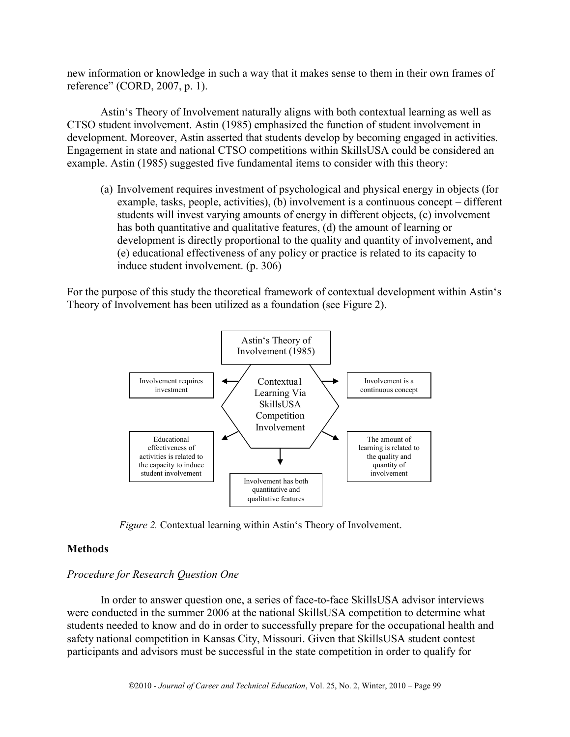new information or knowledge in such a way that it makes sense to them in their own frames of reference" (CORD, 2007, p. 1).

Astin's Theory of Involvement naturally aligns with both contextual learning as well as CTSO student involvement. Astin (1985) emphasized the function of student involvement in development. Moreover, Astin asserted that students develop by becoming engaged in activities. Engagement in state and national CTSO competitions within SkillsUSA could be considered an example. Astin (1985) suggested five fundamental items to consider with this theory:

(a) Involvement requires investment of psychological and physical energy in objects (for example, tasks, people, activities), (b) involvement is a continuous concept – different students will invest varying amounts of energy in different objects, (c) involvement has both quantitative and qualitative features, (d) the amount of learning or development is directly proportional to the quality and quantity of involvement, and (e) educational effectiveness of any policy or practice is related to its capacity to induce student involvement. (p. 306)

For the purpose of this study the theoretical framework of contextual development within Astin's Theory of Involvement has been utilized as a foundation (see Figure 2).



*Figure 2.* Contextual learning within Astin's Theory of Involvement.

# **Methods**

# *Procedure for Research Question One*

In order to answer question one, a series of face-to-face SkillsUSA advisor interviews were conducted in the summer 2006 at the national SkillsUSA competition to determine what students needed to know and do in order to successfully prepare for the occupational health and safety national competition in Kansas City, Missouri. Given that SkillsUSA student contest participants and advisors must be successful in the state competition in order to qualify for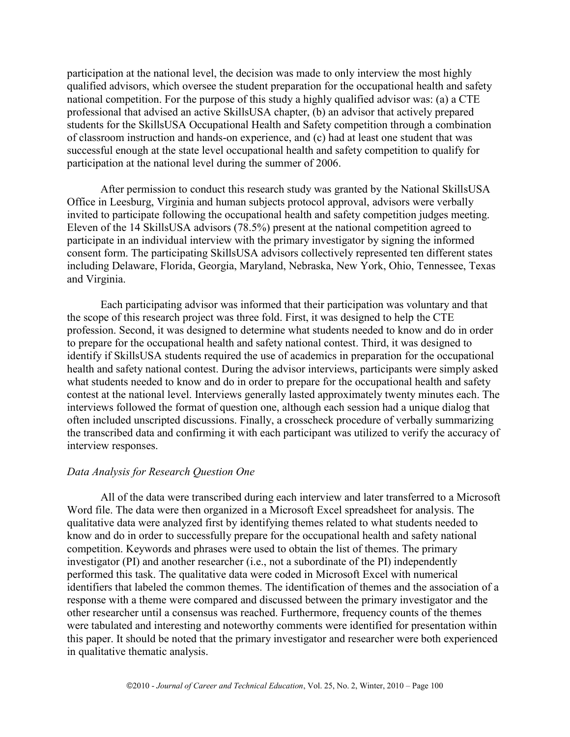participation at the national level, the decision was made to only interview the most highly qualified advisors, which oversee the student preparation for the occupational health and safety national competition. For the purpose of this study a highly qualified advisor was: (a) a CTE professional that advised an active SkillsUSA chapter, (b) an advisor that actively prepared students for the SkillsUSA Occupational Health and Safety competition through a combination of classroom instruction and hands-on experience, and (c) had at least one student that was successful enough at the state level occupational health and safety competition to qualify for participation at the national level during the summer of 2006.

After permission to conduct this research study was granted by the National SkillsUSA Office in Leesburg, Virginia and human subjects protocol approval, advisors were verbally invited to participate following the occupational health and safety competition judges meeting. Eleven of the 14 SkillsUSA advisors (78.5%) present at the national competition agreed to participate in an individual interview with the primary investigator by signing the informed consent form. The participating SkillsUSA advisors collectively represented ten different states including Delaware, Florida, Georgia, Maryland, Nebraska, New York, Ohio, Tennessee, Texas and Virginia.

Each participating advisor was informed that their participation was voluntary and that the scope of this research project was three fold. First, it was designed to help the CTE profession. Second, it was designed to determine what students needed to know and do in order to prepare for the occupational health and safety national contest. Third, it was designed to identify if SkillsUSA students required the use of academics in preparation for the occupational health and safety national contest. During the advisor interviews, participants were simply asked what students needed to know and do in order to prepare for the occupational health and safety contest at the national level. Interviews generally lasted approximately twenty minutes each. The interviews followed the format of question one, although each session had a unique dialog that often included unscripted discussions. Finally, a crosscheck procedure of verbally summarizing the transcribed data and confirming it with each participant was utilized to verify the accuracy of interview responses.

#### *Data Analysis for Research Question One*

All of the data were transcribed during each interview and later transferred to a Microsoft Word file. The data were then organized in a Microsoft Excel spreadsheet for analysis. The qualitative data were analyzed first by identifying themes related to what students needed to know and do in order to successfully prepare for the occupational health and safety national competition. Keywords and phrases were used to obtain the list of themes. The primary investigator (PI) and another researcher (i.e., not a subordinate of the PI) independently performed this task. The qualitative data were coded in Microsoft Excel with numerical identifiers that labeled the common themes. The identification of themes and the association of a response with a theme were compared and discussed between the primary investigator and the other researcher until a consensus was reached. Furthermore, frequency counts of the themes were tabulated and interesting and noteworthy comments were identified for presentation within this paper. It should be noted that the primary investigator and researcher were both experienced in qualitative thematic analysis.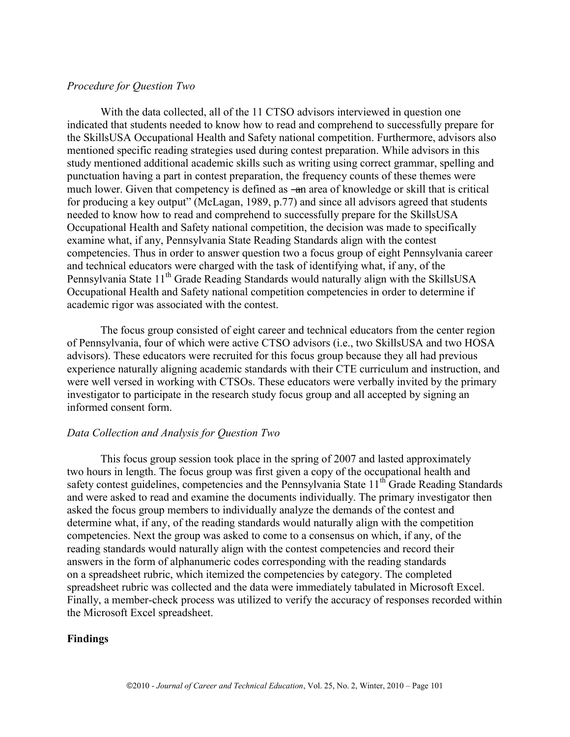## *Procedure for Question Two*

With the data collected, all of the 11 CTSO advisors interviewed in question one indicated that students needed to know how to read and comprehend to successfully prepare for the SkillsUSA Occupational Health and Safety national competition. Furthermore, advisors also mentioned specific reading strategies used during contest preparation. While advisors in this study mentioned additional academic skills such as writing using correct grammar, spelling and punctuation having a part in contest preparation, the frequency counts of these themes were much lower. Given that competency is defined as —an area of knowledge or skill that is critical for producing a key output" (McLagan, 1989, p.77) and since all advisors agreed that students needed to know how to read and comprehend to successfully prepare for the SkillsUSA Occupational Health and Safety national competition, the decision was made to specifically examine what, if any, Pennsylvania State Reading Standards align with the contest competencies. Thus in order to answer question two a focus group of eight Pennsylvania career and technical educators were charged with the task of identifying what, if any, of the Pennsylvania State  $11<sup>th</sup>$  Grade Reading Standards would naturally align with the SkillsUSA Occupational Health and Safety national competition competencies in order to determine if academic rigor was associated with the contest.

The focus group consisted of eight career and technical educators from the center region of Pennsylvania, four of which were active CTSO advisors (i.e., two SkillsUSA and two HOSA advisors). These educators were recruited for this focus group because they all had previous experience naturally aligning academic standards with their CTE curriculum and instruction, and were well versed in working with CTSOs. These educators were verbally invited by the primary investigator to participate in the research study focus group and all accepted by signing an informed consent form.

## *Data Collection and Analysis for Question Two*

 This focus group session took place in the spring of 2007 and lasted approximately two hours in length. The focus group was first given a copy of the occupational health and safety contest guidelines, competencies and the Pennsylvania State 11<sup>th</sup> Grade Reading Standards and were asked to read and examine the documents individually. The primary investigator then asked the focus group members to individually analyze the demands of the contest and determine what, if any, of the reading standards would naturally align with the competition competencies. Next the group was asked to come to a consensus on which, if any, of the reading standards would naturally align with the contest competencies and record their answers in the form of alphanumeric codes corresponding with the reading standards on a spreadsheet rubric, which itemized the competencies by category. The completed spreadsheet rubric was collected and the data were immediately tabulated in Microsoft Excel. Finally, a member-check process was utilized to verify the accuracy of responses recorded within the Microsoft Excel spreadsheet.

#### **Findings**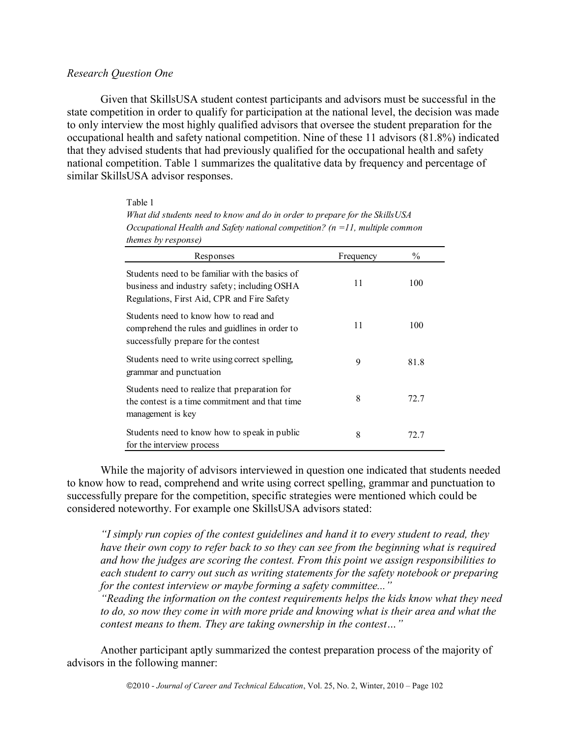## *Research Question One*

Given that SkillsUSA student contest participants and advisors must be successful in the state competition in order to qualify for participation at the national level, the decision was made to only interview the most highly qualified advisors that oversee the student preparation for the occupational health and safety national competition. Nine of these 11 advisors (81.8%) indicated that they advised students that had previously qualified for the occupational health and safety national competition. Table 1 summarizes the qualitative data by frequency and percentage of similar SkillsUSA advisor responses.

| $Oclapunonia$ Heann and Sujery national competition: $\{n-11, mainize$ common<br><i>themes by response)</i>                                    |           |      |  |
|------------------------------------------------------------------------------------------------------------------------------------------------|-----------|------|--|
| Responses                                                                                                                                      | Frequency | $\%$ |  |
| Students need to be familiar with the basics of<br>business and industry safety; including OSHA<br>Regulations, First Aid, CPR and Fire Safety | 11        | 100  |  |
| Students need to know how to read and<br>comprehend the rules and guidlines in order to<br>successfully prepare for the contest                | 11        | 100  |  |
| Students need to write using correct spelling,<br>grammar and punctuation                                                                      | 9         | 81.8 |  |
| Students need to realize that preparation for<br>the contest is a time commitment and that time<br>management is key                           | 8         | 72.7 |  |
| Students need to know how to speak in public<br>for the interview process                                                                      | 8         | 72.7 |  |

Table 1 *What did students need to know and do in order to prepare for the SkillsUSA Occupational Health and Safety national competition? (n =11, multiple common* 

While the majority of advisors interviewed in question one indicated that students needed to know how to read, comprehend and write using correct spelling, grammar and punctuation to successfully prepare for the competition, specific strategies were mentioned which could be considered noteworthy. For example one SkillsUSA advisors stated:

*"I simply run copies of the contest guidelines and hand it to every student to read, they have their own copy to refer back to so they can see from the beginning what is required and how the judges are scoring the contest. From this point we assign responsibilities to each student to carry out such as writing statements for the safety notebook or preparing for the contest interview or maybe forming a safety committee..."* 

*"Reading the information on the contest requirements helps the kids know what they need to do, so now they come in with more pride and knowing what is their area and what the contest means to them. They are taking ownership in the contest…"* 

Another participant aptly summarized the contest preparation process of the majority of advisors in the following manner: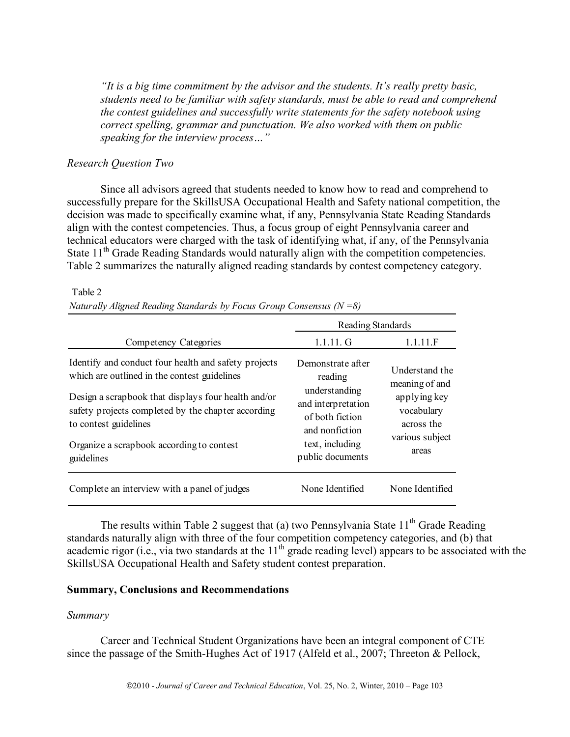*"It is a big time commitment by the advisor and the students. It's really pretty basic, students need to be familiar with safety standards, must be able to read and comprehend the contest guidelines and successfully write statements for the safety notebook using correct spelling, grammar and punctuation. We also worked with them on public speaking for the interview process…"* 

## *Research Question Two*

Since all advisors agreed that students needed to know how to read and comprehend to successfully prepare for the SkillsUSA Occupational Health and Safety national competition, the decision was made to specifically examine what, if any, Pennsylvania State Reading Standards align with the contest competencies. Thus, a focus group of eight Pennsylvania career and technical educators were charged with the task of identifying what, if any, of the Pennsylvania State 11<sup>th</sup> Grade Reading Standards would naturally align with the competition competencies. Table 2 summarizes the naturally aligned reading standards by contest competency category.

| Competency Categories                                                                                                                                                                                                                      | Reading Standards                                                                                                                               |                                                                                                          |
|--------------------------------------------------------------------------------------------------------------------------------------------------------------------------------------------------------------------------------------------|-------------------------------------------------------------------------------------------------------------------------------------------------|----------------------------------------------------------------------------------------------------------|
|                                                                                                                                                                                                                                            | $1.1.11$ . G                                                                                                                                    | 1.1.11.F                                                                                                 |
| Identify and conduct four health and safety projects<br>which are outlined in the contest guidelines<br>Design a scrapbook that displays four health and/or<br>safety projects completed by the chapter according<br>to contest guidelines | Demonstrate after<br>reading<br>understanding<br>and interpretation<br>of both fiction<br>and nonfiction<br>text, including<br>public documents | Understand the<br>meaning of and<br>applying key<br>vocabulary<br>across the<br>various subject<br>areas |
| Organize a scrapbook according to contest<br>guidelines                                                                                                                                                                                    |                                                                                                                                                 |                                                                                                          |
| Complete an interview with a panel of judges                                                                                                                                                                                               | None Identified                                                                                                                                 | None Identified                                                                                          |

#### Table 2

*Naturally Aligned Reading Standards by Focus Group Consensus (N =8)* 

The results within Table 2 suggest that (a) two Pennsylvania State  $11<sup>th</sup>$  Grade Reading standards naturally align with three of the four competition competency categories, and (b) that academic rigor (i.e., via two standards at the  $11<sup>th</sup>$  grade reading level) appears to be associated with the SkillsUSA Occupational Health and Safety student contest preparation.

#### **Summary, Conclusions and Recommendations**

#### *Summary*

Career and Technical Student Organizations have been an integral component of CTE since the passage of the Smith-Hughes Act of 1917 (Alfeld et al., 2007; Threeton & Pellock,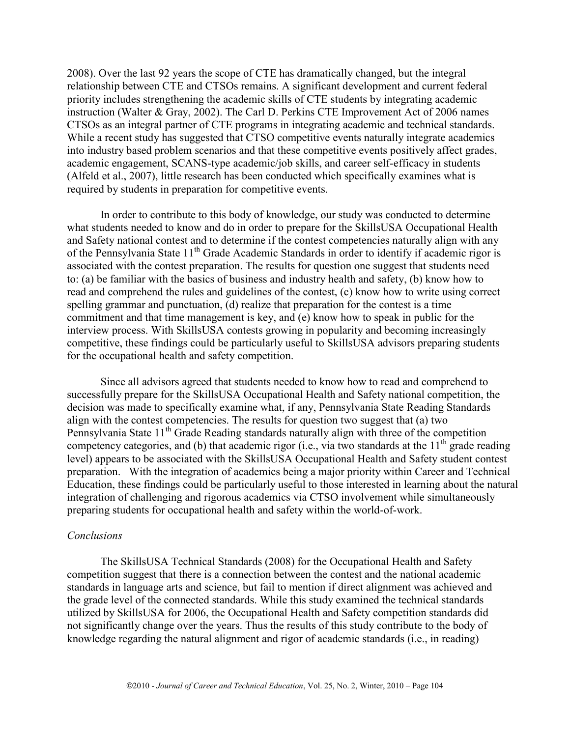2008). Over the last 92 years the scope of CTE has dramatically changed, but the integral relationship between CTE and CTSOs remains. A significant development and current federal priority includes strengthening the academic skills of CTE students by integrating academic instruction (Walter & Gray, 2002). The Carl D. Perkins CTE Improvement Act of 2006 names CTSOs as an integral partner of CTE programs in integrating academic and technical standards. While a recent study has suggested that CTSO competitive events naturally integrate academics into industry based problem scenarios and that these competitive events positively affect grades, academic engagement, SCANS-type academic/job skills, and career self-efficacy in students (Alfeld et al., 2007), little research has been conducted which specifically examines what is required by students in preparation for competitive events.

In order to contribute to this body of knowledge, our study was conducted to determine what students needed to know and do in order to prepare for the SkillsUSA Occupational Health and Safety national contest and to determine if the contest competencies naturally align with any of the Pennsylvania State 11<sup>th</sup> Grade Academic Standards in order to identify if academic rigor is associated with the contest preparation. The results for question one suggest that students need to: (a) be familiar with the basics of business and industry health and safety, (b) know how to read and comprehend the rules and guidelines of the contest, (c) know how to write using correct spelling grammar and punctuation, (d) realize that preparation for the contest is a time commitment and that time management is key, and (e) know how to speak in public for the interview process. With SkillsUSA contests growing in popularity and becoming increasingly competitive, these findings could be particularly useful to SkillsUSA advisors preparing students for the occupational health and safety competition.

Since all advisors agreed that students needed to know how to read and comprehend to successfully prepare for the SkillsUSA Occupational Health and Safety national competition, the decision was made to specifically examine what, if any, Pennsylvania State Reading Standards align with the contest competencies. The results for question two suggest that (a) two Pennsylvania State  $11<sup>th</sup>$  Grade Reading standards naturally align with three of the competition competency categories, and (b) that academic rigor (i.e., via two standards at the  $11<sup>th</sup>$  grade reading level) appears to be associated with the SkillsUSA Occupational Health and Safety student contest preparation. With the integration of academics being a major priority within Career and Technical Education, these findings could be particularly useful to those interested in learning about the natural integration of challenging and rigorous academics via CTSO involvement while simultaneously preparing students for occupational health and safety within the world-of-work.

## *Conclusions*

 The SkillsUSA Technical Standards (2008) for the Occupational Health and Safety competition suggest that there is a connection between the contest and the national academic standards in language arts and science, but fail to mention if direct alignment was achieved and the grade level of the connected standards. While this study examined the technical standards utilized by SkillsUSA for 2006, the Occupational Health and Safety competition standards did not significantly change over the years. Thus the results of this study contribute to the body of knowledge regarding the natural alignment and rigor of academic standards (i.e., in reading)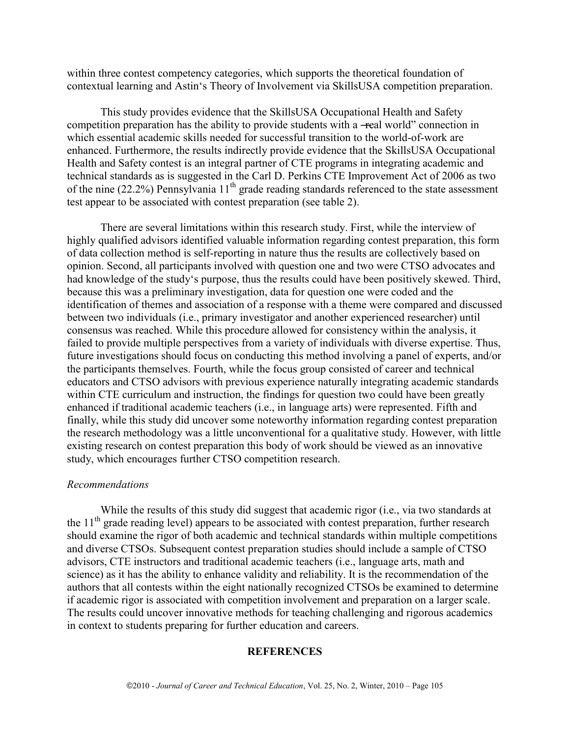within three contest competency categories, which supports the theoretical foundation of contextual learning and Astin's Theory of Involvement via SkillsUSA competition preparation.

This study provides evidence that the SkillsUSA Occupational Health and Safety competition preparation has the ability to provide students with a —real world" connection in which essential academic skills needed for successful transition to the world-of-work are enhanced. Furthermore, the results indirectly provide evidence that the SkillsUSA Occupational Health and Safety contest is an integral partner of CTE programs in integrating academic and technical standards as is suggested in the Carl D. Perkins CTE Improvement Act of 2006 as two of the nine (22.2%) Pennsylvania 11<sup>th</sup> grade reading standards referenced to the state assessment test appear to be associated with contest preparation (see table 2).

There are several limitations within this research study. First, while the interview of highly qualified advisors identified valuable information regarding contest preparation, this form of data collection method is self-reporting in nature thus the results are collectively based on opinion. Second, all participants involved with question one and two were CTSO advocates and had knowledge of the study's purpose, thus the results could have been positively skewed. Third, because this was a preliminary investigation, data for question one were coded and the identification of themes and association of a response with a theme were compared and discussed between two individuals (i.e., primary investigator and another experienced researcher) until consensus was reached. While this procedure allowed for consistency within the analysis, it failed to provide multiple perspectives from a variety of individuals with diverse expertise. Thus, future investigations should focus on conducting this method involving a panel of experts, and/or the participants themselves. Fourth, while the focus group consisted of career and technical educators and CTSO advisors with previous experience naturally integrating academic standards within CTE curriculum and instruction, the findings for question two could have been greatly enhanced if traditional academic teachers (i.e., in language arts) were represented. Fifth and finally, while this study did uncover some noteworthy information regarding contest preparation the research methodology was a little unconventional for a qualitative study. However, with little existing research on contest preparation this body of work should be viewed as an innovative study, which encourages further CTSO competition research.

## *Recommendations*

While the results of this study did suggest that academic rigor (i.e., via two standards at the 11<sup>th</sup> grade reading level) appears to be associated with contest preparation, further research should examine the rigor of both academic and technical standards within multiple competitions and diverse CTSOs. Subsequent contest preparation studies should include a sample of CTSO advisors, CTE instructors and traditional academic teachers (i.e., language arts, math and science) as it has the ability to enhance validity and reliability. It is the recommendation of the authors that all contests within the eight nationally recognized CTSOs be examined to determine if academic rigor is associated with competition involvement and preparation on a larger scale. The results could uncover innovative methods for teaching challenging and rigorous academics in context to students preparing for further education and careers.

## **REFERENCES**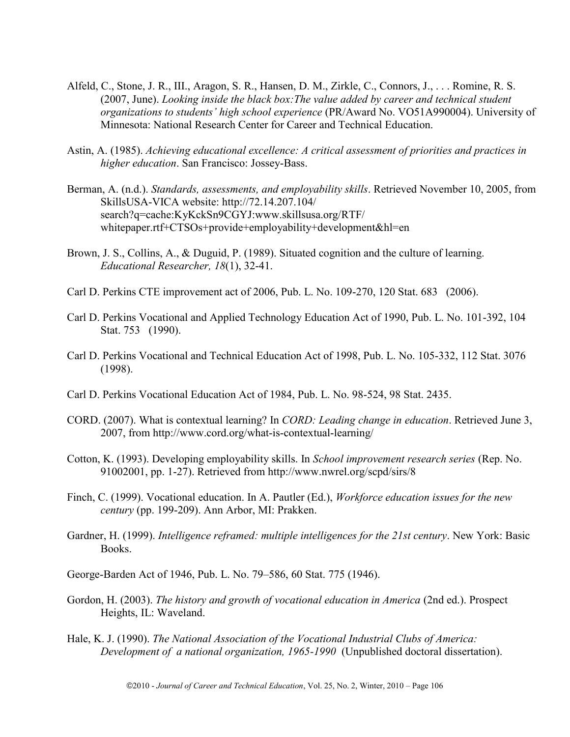- Alfeld, C., Stone, J. R., III., Aragon, S. R., Hansen, D. M., Zirkle, C., Connors, J., . . . Romine, R. S. (2007, June). *Looking inside the black box:The value added by career and technical student organizations to students' high school experience* (PR/Award No. VO51A990004). University of Minnesota: National Research Center for Career and Technical Education.
- Astin, A. (1985). *Achieving educational excellence: A critical assessment of priorities and practices in higher education*. San Francisco: Jossey-Bass.
- Berman, A. (n.d.). *Standards, assessments, and employability skills*. Retrieved November 10, 2005, from SkillsUSA-VICA website: http://72.14.207.104/ search?q=cache:KyKckSn9CGYJ:www.skillsusa.org/RTF/ whitepaper.rtf+CTSOs+provide+employability+development&hl=en
- Brown, J. S., Collins, A., & Duguid, P. (1989). Situated cognition and the culture of learning. *Educational Researcher, 18*(1), 32-41.
- Carl D. Perkins CTE improvement act of 2006, Pub. L. No. 109-270, 120 Stat. 683 (2006).
- Carl D. Perkins Vocational and Applied Technology Education Act of 1990, Pub. L. No. 101-392, 104 Stat. 753 (1990).
- Carl D. Perkins Vocational and Technical Education Act of 1998, Pub. L. No. 105-332, 112 Stat. 3076 (1998).
- Carl D. Perkins Vocational Education Act of 1984, Pub. L. No. 98-524, 98 Stat. 2435.
- CORD. (2007). What is contextual learning? In *CORD: Leading change in education*. Retrieved June 3, 2007, from http://www.cord.org/what-is-contextual-learning/
- Cotton, K. (1993). Developing employability skills. In *School improvement research series* (Rep. No. 91002001, pp. 1-27). Retrieved from http://www.nwrel.org/scpd/sirs/8
- Finch, C. (1999). Vocational education. In A. Pautler (Ed.), *Workforce education issues for the new century* (pp. 199-209). Ann Arbor, MI: Prakken.
- Gardner, H. (1999). *Intelligence reframed: multiple intelligences for the 21st century*. New York: Basic Books.

George-Barden Act of 1946, Pub. L. No. 79–586, 60 Stat. 775 (1946).

- Gordon, H. (2003). *The history and growth of vocational education in America* (2nd ed.). Prospect Heights, IL: Waveland.
- Hale, K. J. (1990). *The National Association of the Vocational Industrial Clubs of America: Development of a national organization, 1965-1990* (Unpublished doctoral dissertation).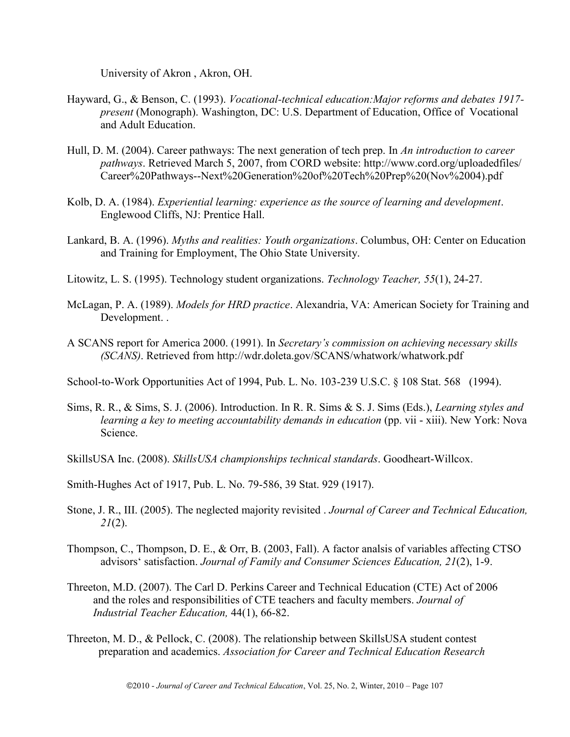University of Akron , Akron, OH.

- Hayward, G., & Benson, C. (1993). *Vocational-technical education:Major reforms and debates 1917 present* (Monograph). Washington, DC: U.S. Department of Education, Office of Vocational and Adult Education.
- Hull, D. M. (2004). Career pathways: The next generation of tech prep. In *An introduction to career pathways*. Retrieved March 5, 2007, from CORD website: http://www.cord.org/uploadedfiles/ Career%20Pathways--Next%20Generation%20of%20Tech%20Prep%20(Nov%2004).pdf
- Kolb, D. A. (1984). *Experiential learning: experience as the source of learning and development*. Englewood Cliffs, NJ: Prentice Hall.
- Lankard, B. A. (1996). *Myths and realities: Youth organizations*. Columbus, OH: Center on Education and Training for Employment, The Ohio State University.
- Litowitz, L. S. (1995). Technology student organizations. *Technology Teacher, 55*(1), 24-27.
- McLagan, P. A. (1989). *Models for HRD practice*. Alexandria, VA: American Society for Training and Development. .
- A SCANS report for America 2000. (1991). In *Secretary's commission on achieving necessary skills (SCANS)*. Retrieved from http://wdr.doleta.gov/SCANS/whatwork/whatwork.pdf

School-to-Work Opportunities Act of 1994, Pub. L. No. 103-239 U.S.C. § 108 Stat. 568 (1994).

- Sims, R. R., & Sims, S. J. (2006). Introduction. In R. R. Sims & S. J. Sims (Eds.), *Learning styles and learning a key to meeting accountability demands in education* (pp. vii - xiii). New York: Nova Science.
- SkillsUSA Inc. (2008). *SkillsUSA championships technical standards*. Goodheart-Willcox.
- Smith-Hughes Act of 1917, Pub. L. No. 79-586, 39 Stat. 929 (1917).
- Stone, J. R., III. (2005). The neglected majority revisited . *Journal of Career and Technical Education, 21*(2).
- Thompson, C., Thompson, D. E., & Orr, B. (2003, Fall). A factor analsis of variables affecting CTSO advisors' satisfaction. *Journal of Family and Consumer Sciences Education, 21*(2), 1-9.
- Threeton, M.D. (2007). The Carl D. Perkins Career and Technical Education (CTE) Act of 2006 and the roles and responsibilities of CTE teachers and faculty members. *Journal of Industrial Teacher Education,* 44(1), 66-82.
- Threeton, M. D., & Pellock, C. (2008). The relationship between SkillsUSA student contest preparation and academics. *Association for Career and Technical Education Research*